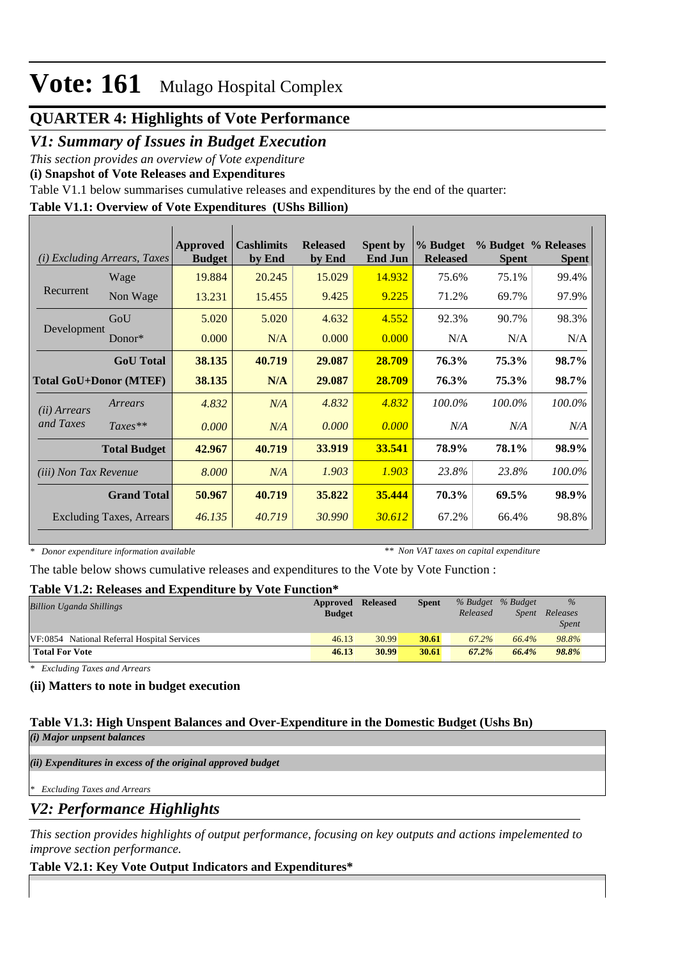## **QUARTER 4: Highlights of Vote Performance**

## *V1: Summary of Issues in Budget Execution*

*This section provides an overview of Vote expenditure* 

**(i) Snapshot of Vote Releases and Expenditures**

Table V1.1 below summarises cumulative releases and expenditures by the end of the quarter:

## **Table V1.1: Overview of Vote Expenditures (UShs Billion)**

| <b>Excluding Arrears, Taxes</b><br>(i) |                                 | Approved<br><b>Budget</b> | <b>Cashlimits</b><br>by End | <b>Released</b><br>by End | <b>Spent by</b><br><b>End Jun</b> | % Budget<br><b>Released</b> | <b>Spent</b> | % Budget % Releases<br><b>Spent</b> |
|----------------------------------------|---------------------------------|---------------------------|-----------------------------|---------------------------|-----------------------------------|-----------------------------|--------------|-------------------------------------|
|                                        | Wage                            | 19.884                    | 20.245                      | 15.029                    | 14.932                            | 75.6%                       | 75.1%        | 99.4%                               |
| Recurrent                              | Non Wage                        | 13.231                    | 15.455                      | 9.425                     | 9.225                             | 71.2%                       | 69.7%        | 97.9%                               |
|                                        | GoU                             | 5.020                     | 5.020                       | 4.632                     | 4.552                             | 92.3%                       | 90.7%        | 98.3%                               |
| Development                            | Donor $*$                       | 0.000                     | N/A                         | 0.000                     | 0.000                             | N/A                         | N/A          | N/A                                 |
|                                        | <b>GoU</b> Total                | 38.135                    | 40.719                      | 29.087                    | 28.709                            | 76.3%                       | 75.3%        | 98.7%                               |
| <b>Total GoU+Donor (MTEF)</b>          |                                 | 38.135                    | N/A                         | 29.087                    | 28.709                            | 76.3%                       | 75.3%        | 98.7%                               |
| (ii) Arrears                           | Arrears                         | 4.832                     | N/A                         | 4.832                     | 4.832                             | 100.0%                      | 100.0%       | 100.0%                              |
| and Taxes                              | $Taxes**$                       | 0.000                     | N/A                         | 0.000                     | 0.000                             | N/A                         | N/A          | N/A                                 |
|                                        | <b>Total Budget</b>             | 42.967                    | 40.719                      | 33.919                    | 33.541                            | 78.9%                       | 78.1%        | 98.9%                               |
| (iii) Non Tax Revenue                  |                                 | 8.000                     | N/A                         | 1.903                     | 1.903                             | 23.8%                       | 23.8%        | 100.0%                              |
|                                        | <b>Grand Total</b>              | 50.967                    | 40.719                      | 35.822                    | 35.444                            | 70.3%                       | 69.5%        | 98.9%                               |
|                                        | <b>Excluding Taxes, Arrears</b> | 46.135                    | 40.719                      | 30.990                    | 30.612                            | 67.2%                       | 66.4%        | 98.8%                               |

*\* Donor expenditure information available*

*\*\* Non VAT taxes on capital expenditure*

The table below shows cumulative releases and expenditures to the Vote by Vote Function :

#### **Table V1.2: Releases and Expenditure by Vote Function\***

| <b>Billion Uganda Shillings</b>             | Approved      | Released | Spent |          | % Budget % Budget | $\%$         |  |
|---------------------------------------------|---------------|----------|-------|----------|-------------------|--------------|--|
|                                             | <b>Budget</b> |          |       | Released | Spent             | Releases     |  |
|                                             |               |          |       |          |                   | <i>Spent</i> |  |
| VF:0854 National Referral Hospital Services | 46.13         | 30.99    | 30.61 | 67.2%    | 66.4%             | 98.8%        |  |
| <b>Total For Vote</b>                       | 46.13         | 30.99    | 30.61 | 67.2%    | 66.4%             | 98.8%        |  |

*\* Excluding Taxes and Arrears*

#### **(ii) Matters to note in budget execution**

#### **Table V1.3: High Unspent Balances and Over-Expenditure in the Domestic Budget (Ushs Bn)** *(i) Major unpsent balances*

*(ii) Expenditures in excess of the original approved budget*

*\* Excluding Taxes and Arrears*

*V2: Performance Highlights*

*This section provides highlights of output performance, focusing on key outputs and actions impelemented to improve section performance.*

## **Table V2.1: Key Vote Output Indicators and Expenditures\***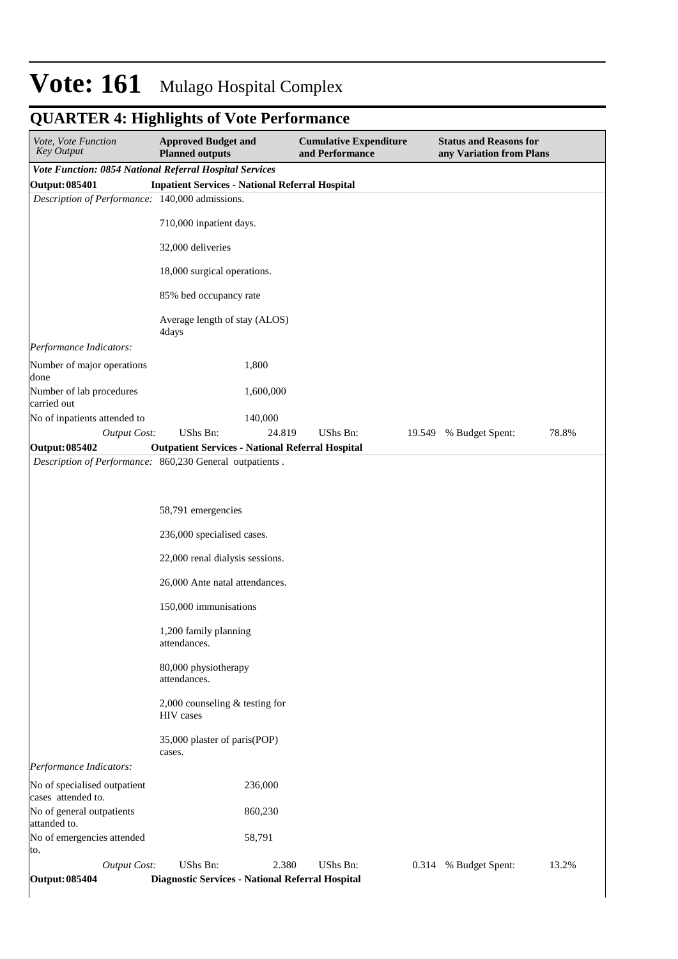| Vote, Vote Function<br><b>Key Output</b>                                   | <b>Approved Budget and</b><br><b>Planned outputs</b>    |           | <b>Cumulative Expenditure</b><br>and Performance |        | <b>Status and Reasons for</b><br>any Variation from Plans |       |  |  |
|----------------------------------------------------------------------------|---------------------------------------------------------|-----------|--------------------------------------------------|--------|-----------------------------------------------------------|-------|--|--|
| Vote Function: 0854 National Referral Hospital Services                    |                                                         |           |                                                  |        |                                                           |       |  |  |
| Output: 085401                                                             | <b>Inpatient Services - National Referral Hospital</b>  |           |                                                  |        |                                                           |       |  |  |
| Description of Performance: 140,000 admissions.                            |                                                         |           |                                                  |        |                                                           |       |  |  |
|                                                                            | 710,000 inpatient days.                                 |           |                                                  |        |                                                           |       |  |  |
|                                                                            | 32,000 deliveries                                       |           |                                                  |        |                                                           |       |  |  |
|                                                                            | 18,000 surgical operations.                             |           |                                                  |        |                                                           |       |  |  |
|                                                                            | 85% bed occupancy rate                                  |           |                                                  |        |                                                           |       |  |  |
|                                                                            | Average length of stay (ALOS)<br>4days                  |           |                                                  |        |                                                           |       |  |  |
| Performance Indicators:                                                    |                                                         |           |                                                  |        |                                                           |       |  |  |
| Number of major operations<br>done                                         |                                                         | 1,800     |                                                  |        |                                                           |       |  |  |
| Number of lab procedures<br>carried out                                    |                                                         | 1,600,000 |                                                  |        |                                                           |       |  |  |
| No of inpatients attended to                                               |                                                         | 140,000   |                                                  |        |                                                           |       |  |  |
| <b>Output Cost:</b>                                                        | UShs Bn:                                                | 24.819    | UShs Bn:                                         | 19.549 | % Budget Spent:                                           | 78.8% |  |  |
| Output: 085402<br>Description of Performance: 860,230 General outpatients. | <b>Outpatient Services - National Referral Hospital</b> |           |                                                  |        |                                                           |       |  |  |
|                                                                            | 58,791 emergencies<br>236,000 specialised cases.        |           |                                                  |        |                                                           |       |  |  |
|                                                                            |                                                         |           |                                                  |        |                                                           |       |  |  |
|                                                                            | 22,000 renal dialysis sessions.                         |           |                                                  |        |                                                           |       |  |  |
|                                                                            | 26,000 Ante natal attendances.                          |           |                                                  |        |                                                           |       |  |  |
|                                                                            | 150,000 immunisations                                   |           |                                                  |        |                                                           |       |  |  |
|                                                                            | 1,200 family planning<br>attendances.                   |           |                                                  |        |                                                           |       |  |  |
|                                                                            | 80,000 physiotherapy<br>attendances.                    |           |                                                  |        |                                                           |       |  |  |
|                                                                            | 2,000 counseling $&$ testing for<br>HIV cases           |           |                                                  |        |                                                           |       |  |  |
|                                                                            | 35,000 plaster of paris(POP)<br>cases.                  |           |                                                  |        |                                                           |       |  |  |
| Performance Indicators:                                                    |                                                         |           |                                                  |        |                                                           |       |  |  |
| No of specialised outpatient<br>cases attended to.                         |                                                         | 236,000   |                                                  |        |                                                           |       |  |  |
| No of general outpatients<br>attanded to.                                  |                                                         | 860,230   |                                                  |        |                                                           |       |  |  |
| No of emergencies attended<br>to.                                          |                                                         | 58,791    |                                                  |        |                                                           |       |  |  |
| <b>Output Cost:</b>                                                        | UShs Bn:                                                | 2.380     | UShs Bn:                                         | 0.314  | % Budget Spent:                                           | 13.2% |  |  |
| Output: 085404                                                             | Diagnostic Services - National Referral Hospital        |           |                                                  |        |                                                           |       |  |  |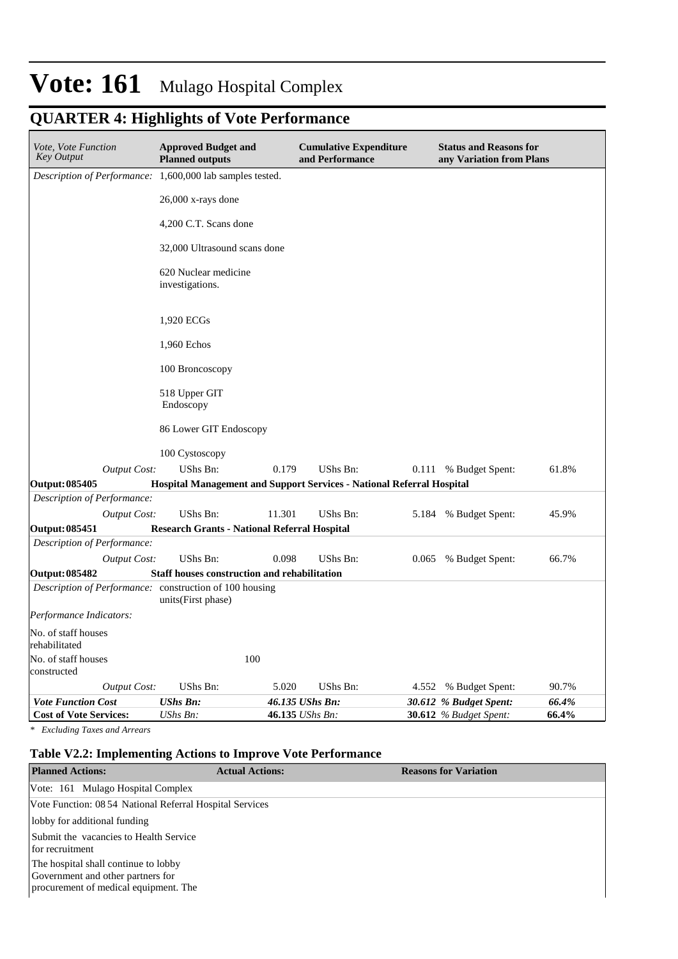## **QUARTER 4: Highlights of Vote Performance**

| Vote, Vote Function<br><b>Key Output</b>                  | <b>Approved Budget and</b><br><b>Planned outputs</b>                  |                 | <b>Cumulative Expenditure</b><br>and Performance |       | <b>Status and Reasons for</b><br>any Variation from Plans |       |  |  |
|-----------------------------------------------------------|-----------------------------------------------------------------------|-----------------|--------------------------------------------------|-------|-----------------------------------------------------------|-------|--|--|
| Description of Performance: 1,600,000 lab samples tested. |                                                                       |                 |                                                  |       |                                                           |       |  |  |
|                                                           | 26,000 x-rays done                                                    |                 |                                                  |       |                                                           |       |  |  |
|                                                           | 4,200 C.T. Scans done                                                 |                 |                                                  |       |                                                           |       |  |  |
|                                                           | 32,000 Ultrasound scans done                                          |                 |                                                  |       |                                                           |       |  |  |
|                                                           | 620 Nuclear medicine<br>investigations.                               |                 |                                                  |       |                                                           |       |  |  |
|                                                           | 1,920 ECGs                                                            |                 |                                                  |       |                                                           |       |  |  |
|                                                           | 1,960 Echos                                                           |                 |                                                  |       |                                                           |       |  |  |
|                                                           | 100 Broncoscopy                                                       |                 |                                                  |       |                                                           |       |  |  |
|                                                           | 518 Upper GIT<br>Endoscopy                                            |                 |                                                  |       |                                                           |       |  |  |
|                                                           | 86 Lower GIT Endoscopy                                                |                 |                                                  |       |                                                           |       |  |  |
|                                                           | 100 Cystoscopy                                                        |                 |                                                  |       |                                                           |       |  |  |
| <b>Output Cost:</b>                                       | UShs Bn:                                                              | 0.179           | UShs Bn:                                         |       | 0.111 % Budget Spent:                                     | 61.8% |  |  |
| <b>Output: 085405</b>                                     | Hospital Management and Support Services - National Referral Hospital |                 |                                                  |       |                                                           |       |  |  |
| Description of Performance:                               | UShs Bn:                                                              | 11.301          | UShs Bn:                                         |       |                                                           | 45.9% |  |  |
| <b>Output Cost:</b><br><b>Output: 085451</b>              | <b>Research Grants - National Referral Hospital</b>                   |                 |                                                  | 5.184 | % Budget Spent:                                           |       |  |  |
| Description of Performance:                               |                                                                       |                 |                                                  |       |                                                           |       |  |  |
| <b>Output Cost:</b>                                       | UShs Bn:                                                              | 0.098           | UShs Bn:                                         | 0.065 | % Budget Spent:                                           | 66.7% |  |  |
| <b>Output: 085482</b>                                     | <b>Staff houses construction and rehabilitation</b>                   |                 |                                                  |       |                                                           |       |  |  |
| Description of Performance: construction of 100 housing   | units(First phase)                                                    |                 |                                                  |       |                                                           |       |  |  |
| Performance Indicators:                                   |                                                                       |                 |                                                  |       |                                                           |       |  |  |
| No. of staff houses<br>rehabilitated                      |                                                                       |                 |                                                  |       |                                                           |       |  |  |
| No. of staff houses<br>constructed                        | 100                                                                   |                 |                                                  |       |                                                           |       |  |  |
| <b>Output Cost:</b>                                       | UShs Bn:                                                              | 5.020           | UShs Bn:                                         | 4.552 | % Budget Spent:                                           | 90.7% |  |  |
| <b>Vote Function Cost</b>                                 | <b>UShs Bn:</b>                                                       | 46.135 UShs Bn: |                                                  |       | 30.612 % Budget Spent:                                    | 66.4% |  |  |
| <b>Cost of Vote Services:</b>                             | UShs Bn:                                                              | 46.135 UShs Bn: |                                                  |       | <b>30.612</b> % Budget Spent:                             | 66.4% |  |  |

*\* Excluding Taxes and Arrears*

## **Table V2.2: Implementing Actions to Improve Vote Performance**

| <b>Planned Actions:</b>                                                                                            | <b>Actual Actions:</b> | <b>Reasons for Variation</b> |
|--------------------------------------------------------------------------------------------------------------------|------------------------|------------------------------|
| Vote: 161 Mulago Hospital Complex                                                                                  |                        |                              |
| Vote Function: 08 54 National Referral Hospital Services                                                           |                        |                              |
| lobby for additional funding                                                                                       |                        |                              |
| Submit the vacancies to Health Service<br>for recruitment                                                          |                        |                              |
| The hospital shall continue to lobby<br>Government and other partners for<br>procurement of medical equipment. The |                        |                              |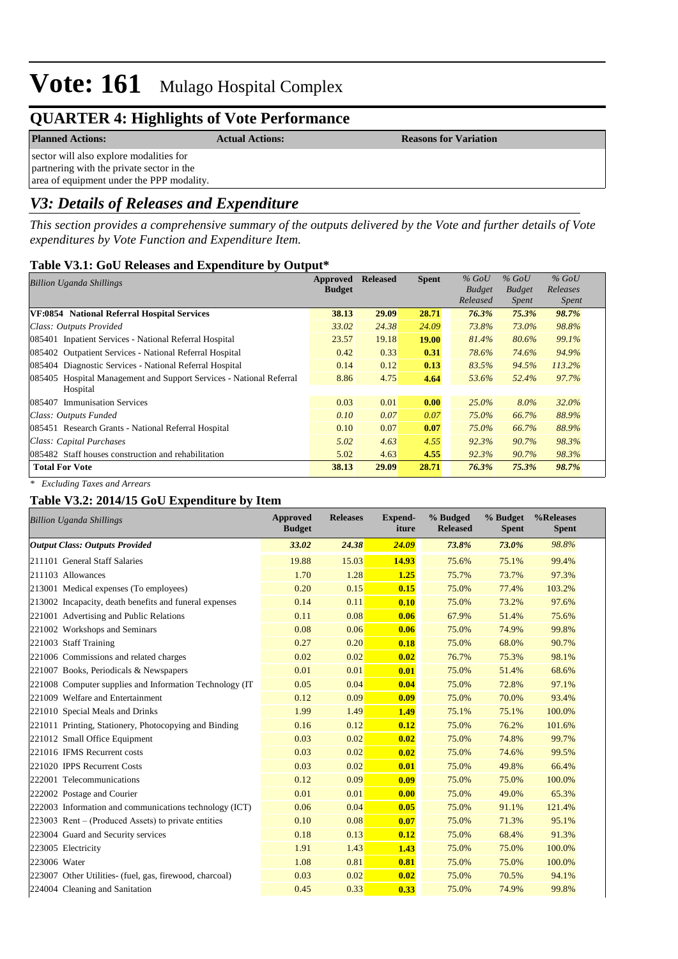## **QUARTER 4: Highlights of Vote Performance**

**Planned Actions: Actual Actions: Reasons for Variation**

sector will also explore modalities for partnering with the private sector in the area of equipment under the PPP modality.

## *V3: Details of Releases and Expenditure*

*This section provides a comprehensive summary of the outputs delivered by the Vote and further details of Vote expenditures by Vote Function and Expenditure Item.*

## **Table V3.1: GoU Releases and Expenditure by Output\***

| <b>Billion Uganda Shillings</b>                                        | Approved      | <b>Released</b> | <b>Spent</b> | $%$ GoU       | $%$ GoU       | $%$ GoU      |
|------------------------------------------------------------------------|---------------|-----------------|--------------|---------------|---------------|--------------|
|                                                                        | <b>Budget</b> |                 |              | <b>Budget</b> | <b>Budget</b> | Releases     |
|                                                                        |               |                 |              | Released      | <i>Spent</i>  | <i>Spent</i> |
| VF:0854 National Referral Hospital Services                            | 38.13         | 29.09           | 28.71        | 76.3%         | 75.3%         | 98.7%        |
| Class: Outputs Provided                                                | 33.02         | 24.38           | 24.09        | 73.8%         | 73.0%         | 98.8%        |
| 085401 Inpatient Services - National Referral Hospital                 | 23.57         | 19.18           | <b>19.00</b> | 81.4%         | 80.6%         | 99.1%        |
| 085402 Outpatient Services - National Referral Hospital                | 0.42          | 0.33            | 0.31         | 78.6%         | 74.6%         | 94.9%        |
| 085404 Diagnostic Services - National Referral Hospital                | 0.14          | 0.12            | 0.13         | 83.5%         | 94.5%         | 113.2%       |
| Hospital Management and Support Services - National Referral<br>085405 | 8.86          | 4.75            | 4.64         | 53.6%         | 52.4%         | 97.7%        |
| Hospital                                                               |               |                 |              |               |               |              |
| <b>Immunisation Services</b><br>085407                                 | 0.03          | 0.01            | 0.00         | $25.0\%$      | $8.0\%$       | $32.0\%$     |
| Class: Outputs Funded                                                  | 0.10          | 0.07            | 0.07         | 75.0%         | 66.7%         | 88.9%        |
| 085451 Research Grants - National Referral Hospital                    | 0.10          | 0.07            | 0.07         | $75.0\%$      | 66.7%         | 88.9%        |
| Class: Capital Purchases                                               | 5.02          | 4.63            | 4.55         | 92.3%         | 90.7%         | 98.3%        |
| 085482 Staff houses construction and rehabilitation                    | 5.02          | 4.63            | 4.55         | 92.3%         | 90.7%         | 98.3%        |
| <b>Total For Vote</b>                                                  | 38.13         | 29.09           | 28.71        | 76.3%         | 75.3%         | 98.7%        |

*\* Excluding Taxes and Arrears*

#### **Table V3.2: 2014/15 GoU Expenditure by Item**

| <b>Billion Uganda Shillings</b>                          | <b>Approved</b><br><b>Budget</b> | <b>Releases</b> | <b>Expend-</b><br>iture | % Budged<br><b>Released</b> | % Budget<br><b>Spent</b> | %Releases<br><b>Spent</b> |
|----------------------------------------------------------|----------------------------------|-----------------|-------------------------|-----------------------------|--------------------------|---------------------------|
| <b>Output Class: Outputs Provided</b>                    | 33.02                            | 24.38           | 24.09                   | 73.8%                       | 73.0%                    | 98.8%                     |
| 211101 General Staff Salaries                            | 19.88                            | 15.03           | 14.93                   | 75.6%                       | 75.1%                    | 99.4%                     |
| 211103 Allowances                                        | 1.70                             | 1.28            | 1.25                    | 75.7%                       | 73.7%                    | 97.3%                     |
| 213001 Medical expenses (To employees)                   | 0.20                             | 0.15            | 0.15                    | 75.0%                       | 77.4%                    | 103.2%                    |
| 213002 Incapacity, death benefits and funeral expenses   | 0.14                             | 0.11            | 0.10                    | 75.0%                       | 73.2%                    | 97.6%                     |
| 221001 Advertising and Public Relations                  | 0.11                             | 0.08            | 0.06                    | 67.9%                       | 51.4%                    | 75.6%                     |
| 221002 Workshops and Seminars                            | 0.08                             | 0.06            | 0.06                    | 75.0%                       | 74.9%                    | 99.8%                     |
| 221003 Staff Training                                    | 0.27                             | 0.20            | 0.18                    | 75.0%                       | 68.0%                    | 90.7%                     |
| 221006 Commissions and related charges                   | 0.02                             | 0.02            | 0.02                    | 76.7%                       | 75.3%                    | 98.1%                     |
| 221007 Books, Periodicals & Newspapers                   | 0.01                             | 0.01            | 0.01                    | 75.0%                       | 51.4%                    | 68.6%                     |
| 221008 Computer supplies and Information Technology (IT) | 0.05                             | 0.04            | 0.04                    | 75.0%                       | 72.8%                    | 97.1%                     |
| 221009 Welfare and Entertainment                         | 0.12                             | 0.09            | 0.09                    | 75.0%                       | 70.0%                    | 93.4%                     |
| 221010 Special Meals and Drinks                          | 1.99                             | 1.49            | 1.49                    | 75.1%                       | 75.1%                    | 100.0%                    |
| 221011 Printing, Stationery, Photocopying and Binding    | 0.16                             | 0.12            | 0.12                    | 75.0%                       | 76.2%                    | 101.6%                    |
| 221012 Small Office Equipment                            | 0.03                             | 0.02            | 0.02                    | 75.0%                       | 74.8%                    | 99.7%                     |
| 221016 IFMS Recurrent costs                              | 0.03                             | 0.02            | 0.02                    | 75.0%                       | 74.6%                    | 99.5%                     |
| 221020 IPPS Recurrent Costs                              | 0.03                             | 0.02            | 0.01                    | 75.0%                       | 49.8%                    | 66.4%                     |
| 222001 Telecommunications                                | 0.12                             | 0.09            | 0.09                    | 75.0%                       | 75.0%                    | 100.0%                    |
| 222002 Postage and Courier                               | 0.01                             | 0.01            | 0.00                    | 75.0%                       | 49.0%                    | 65.3%                     |
| 222003 Information and communications technology (ICT)   | 0.06                             | 0.04            | 0.05                    | 75.0%                       | 91.1%                    | 121.4%                    |
| $223003$ Rent – (Produced Assets) to private entities    | 0.10                             | 0.08            | 0.07                    | 75.0%                       | 71.3%                    | 95.1%                     |
| 223004 Guard and Security services                       | 0.18                             | 0.13            | 0.12                    | 75.0%                       | 68.4%                    | 91.3%                     |
| 223005 Electricity                                       | 1.91                             | 1.43            | 1.43                    | 75.0%                       | 75.0%                    | 100.0%                    |
| 223006 Water                                             | 1.08                             | 0.81            | 0.81                    | 75.0%                       | 75.0%                    | 100.0%                    |
| 223007 Other Utilities- (fuel, gas, firewood, charcoal)  | 0.03                             | 0.02            | 0.02                    | 75.0%                       | 70.5%                    | 94.1%                     |
| 224004 Cleaning and Sanitation                           | 0.45                             | 0.33            | 0.33                    | 75.0%                       | 74.9%                    | 99.8%                     |